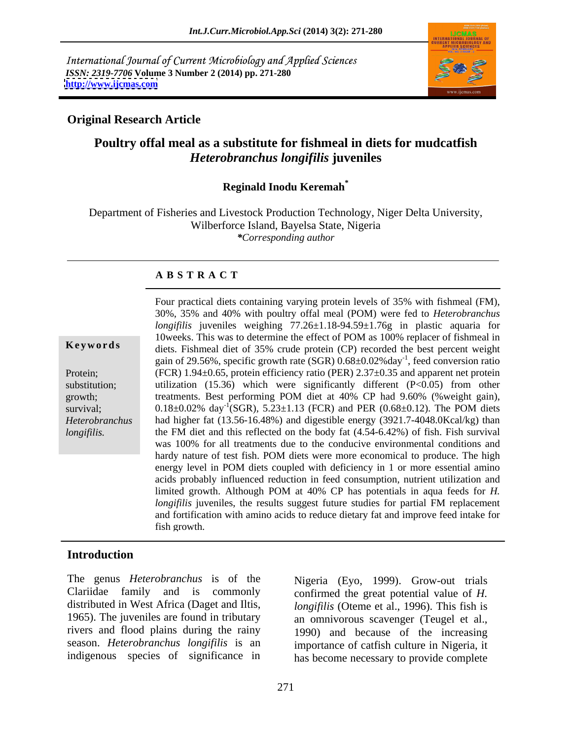International Journal of Current Microbiology and Applied Sciences *ISSN: 2319-7706* **Volume 3 Number 2 (2014) pp. 271-280 <http://www.ijcmas.com>**



## **Original Research Article**

# **Poultry offal meal as a substitute for fishmeal in diets for mudcatfish**  *Heterobranchus longifilis* **juveniles**

# **Reginald Inodu Keremah\***

Department of Fisheries and Livestock Production Technology, Niger Delta University, Wilberforce Island, Bayelsa State, Nigeria *\*Corresponding author*

### **A B S T R A C T**

**Ke ywo rds** diets. Fishmeal diet of 35% crude protein (CP) recorded the best percent weight Protein; (FCR) 1.94±0.65, protein efficiency ratio (PER) 2.37±0.35 and apparent net protein substitution; utilization (15.36) which were significantly different (P<0.05) from other growth; treatments. Best performing POM diet at 40% CP had 9.60% (%weight gain), survival;  $0.18 \pm 0.02\%$  day<sup>-1</sup>(SGR), 5.23 $\pm 1.13$  (FCR) and PER (0.68 $\pm 0.12$ ). The POM diets *Heterobranchus*  had higher fat (13.56-16.48%) and digestible energy (3921.7-4048.0Kcal/kg) than *longifilis.* the FM diet and this reflected on the body fat (4.54-6.42%) of fish. Fish survival Four practical diets containing varying protein levels of 35% with fishmeal (FM),30%, 35% and 40% with poultry offal meal (POM) were fed to *Heterobranchus longifilis* juveniles weighing 77.26±1.18-94.59±1.76g in plastic aquaria for 10weeks. This was to determine the effect of POM as 100% replacer of fishmeal in gain of 29.56%, specific growth rate (SGR) 0.68±0.02%day-1 , feed conversion ratio was 100% for all treatments due to the conducive environmental conditions and hardy nature of test fish. POM diets were more economical to produce. The high energy level in POM diets coupled with deficiency in 1 or more essential amino acids probably influenced reduction in feed consumption, nutrient utilization and limited growth. Although POM at 40% CP has potentials in aqua feeds for *H. longifilis* juveniles, the results suggest future studies for partial FM replacement and fortification with amino acids to reduce dietary fat and improve feed intake for fish growth.

### **Introduction**

The genus *Heterobranchus* is of the Nigeria (Eyo, 1999). Grow-out trials rivers and flood plains during the rainy

Clariidae family and is commonly confirmed the great potential value of *H.* distributed in West Africa (Daget and Iltis, *longifilis* (Oteme et al., 1996). This fish is 1965). The juveniles are found in tributary an omnivorous scavenger (Teugel et al., season. *Heterobranchus longifilis* is an importance of catfish culture in Nigeria, it indigenous species of significance in has become necessary to provide complete 1990) and because of the increasing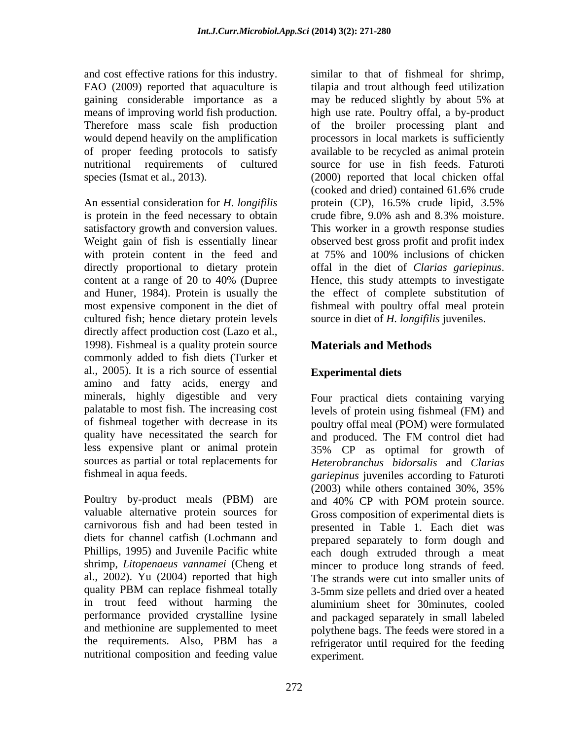FAO (2009) reported that aquaculture is gaining considerable importance as a may be reduced slightly by about 5% at

An essential consideration for *H. longifilis* is protein in the feed necessary to obtain crude fibre, 9.0% ash and 8.3% moisture. with protein content in the feed and at 75% and 100% inclusions of chicken directly proportional to dietary protein offal in the diet of *Clarias gariepinus*. cultured fish; hence dietary protein levels directly affect production cost (Lazo et al., 1998). Fishmeal is a quality protein source commonly added to fish diets (Turker et al., 2005). It is a rich source of essential Experimental diets amino and fatty acids, energy and minerals, highly digestible and very palatable to most fish. The increasing cost levels of protein using fishmeal (FM) and of fishmeal together with decrease in its poultry offal meal (POM) were formulated quality have necessitated the search for and produced. The FM control diet had less expensive plant or animal protein 35% CP as optimal for growth of sources as partial or total replacements for *Heterobranchus bidorsalis* and *Clarias* 

Poultry by-product meals (PBM) are and 40% CP with POM protein source. Phillips, 1995) and Juvenile Pacific white performance provided crystalline lysine nutritional composition and feeding value

and cost effective rations for this industry. Similar to that of fishmeal for shrimp, means of improving world fish production. high use rate. Poultry offal, a by-product Therefore mass scale fish production of the broiler processing plant and would depend heavily on the amplification brocessors in local markets is sufficiently of proper feeding protocols to satisfy available to be recycled as animal protein nutritional requirements of cultured source for use in fish feeds. Faturoti species (Ismat et al., 2013). (2000) reported that local chicken offal satisfactory growth and conversion values. This worker in a growth response studies Weight gain of fish is essentially linear observed best gross profit and profit index content at a range of 20 to 40% (Dupree and Huner, 1984). Protein is usually the the effect of complete substitution of most expensive component in the diet of fishmeal with poultry offal meal protein tilapia and trout although feed utilization may be reduced slightly by about 5% at (cooked and dried) contained 61.6% crude protein (CP), 16.5% crude lipid, 3.5% crude fibre, 9.0% ash and 8.3% moisture. at 75% and 100% inclusions of chicken offal in the diet of *Clarias gariepinus*. Hence, this study attempts to investigate source in diet of *H. longifilis* juveniles.

# **Materials and Methods**

# **Experimental diets**

fishmeal in aqua feeds. *gariepinus* juveniles according to Faturoti valuable alternative protein sources for Gross composition of experimental diets is carnivorous fish and had been tested in presented in Table 1. Each diet was diets for channel catfish (Lochmann and prepared separately to form dough and shrimp, *Litopenaeus vannamei* (Cheng et mincer to produce long strands of feed. al., 2002). Yu (2004) reported that high The strands were cut into smaller units of quality PBM can replace fishmeal totally 3-5mm size pellets and dried over a heated in trout feed without harming the aluminium sheet for 30minutes, cooled and methionine are supplemented to meet polythene bags. The feeds were stored in a the requirements. Also, PBM has a refrigerator until required for the feeding Four practical diets containing varying and produced. The FM control diet had (2003) while others contained 30%, 35% and 40% CP with POM protein source. each dough extruded through a meat 3-5mm size pellets and dried over a heated and packaged separately in small labeled refrigerator until required for the feeding experiment.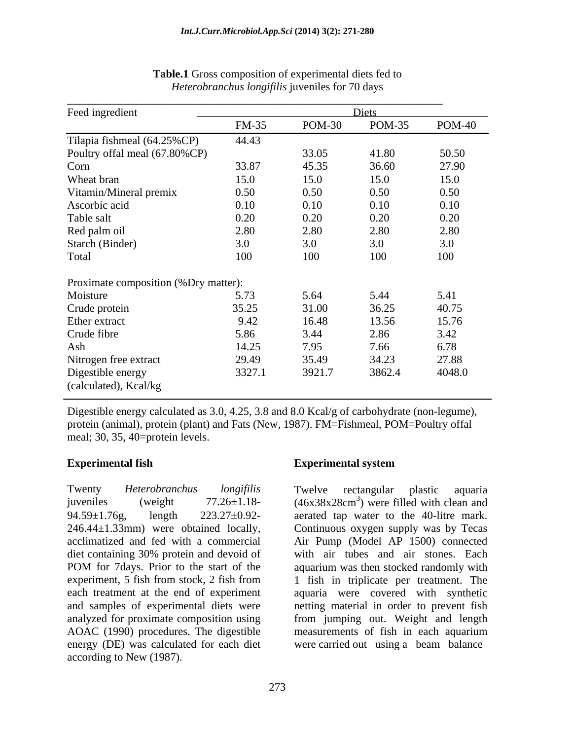| Feed ingredient                      |              | Diets         |               |        |  |  |
|--------------------------------------|--------------|---------------|---------------|--------|--|--|
|                                      | <b>FM-35</b> | <b>POM-30</b> | <b>POM-35</b> | POM-40 |  |  |
| Tilapia fishmeal (64.25%CP)          | 44.43        |               |               |        |  |  |
| Poultry offal meal (67.80%CP)        |              | 33.05         | 41.80         | 50.50  |  |  |
| Corn                                 | 33.87        | 45.35         | 36.60         | 27.90  |  |  |
| Wheat bran                           | 15.0         | 15.0          | 15.0          | 15.0   |  |  |
| Vitamin/Mineral premix               | 0.50         | 0.50          | 0.50          | 0.50   |  |  |
| Ascorbic acid                        | 0.10         | 0.10          | 0.10          | 0.10   |  |  |
| Table salt                           | 0.20         | 0.20          | 0.20          | 0.20   |  |  |
| Red palm oil                         | 2.80         | 2.80          | 2.80          | 2.80   |  |  |
| Starch (Binder)                      | 3.0          | 3.0           | 3.0           | 3.0    |  |  |
| Total                                | 100          | 100           | 100           | 100    |  |  |
| Proximate composition (%Dry matter): |              |               |               |        |  |  |
| Moisture                             | 5.73         | 5.64          | 5.44          | 5.41   |  |  |
| Crude protein                        | 35.25        | 31.00         | 36.25         | 40.75  |  |  |
| Ether extract                        | 9.42         | 16.48         | 13.56         | 15.76  |  |  |
| Crude fibre                          | 5.86         | 3.44          | 2.86          | 3.42   |  |  |
| Ash                                  | 14.25        | 7.95          | 7.66          | 6.78   |  |  |
| Nitrogen free extract                | 29.49        | 35.49         | 34.23         | 27.88  |  |  |
| Digestible energy                    | 3327.1       | 3921.7        | 3862.4        | 4048.0 |  |  |
| (calculated), Kcal/kg                |              |               |               |        |  |  |

### **Table.1** Gross composition of experimental diets fed to *Heterobranchus longifilis* juveniles for 70 days

Digestible energy calculated as 3.0, 4.25, 3.8 and 8.0 Kcal/g of carbohydrate (non-legume), protein (animal), protein (plant) and Fats (New, 1987). FM=Fishmeal, POM=Poultry offal meal; 30, 35, 40=protein levels.

Twenty *Heterobranchus longifilis* juveniles (weight  $77.26 \pm 1.18$ -  $(46x38x28 \text{cm}^3)$  were filled with clean and  $94.59 \pm 1.76$ g, length  $223.27 \pm 0.92$ - aerated tap water to the 40-litre mark. 246.44±1.33mm) were obtained locally, Continuous oxygen supply was by Tecas acclimatized and fed with a commercial Air Pump (Model AP 1500) connected diet containing 30% protein and devoid of with air tubes and air stones. Each POM for 7days. Prior to the start of the aquarium was then stocked randomly with experiment, 5 fish from stock, 2 fish from 1 fish in triplicate per treatment. The each treatment at the end of experiment aquaria were covered with synthetic and samples of experimental diets were netting material in order to prevent fish analyzed for proximate composition using from jumping out. Weight and length AOAC (1990) procedures. The digestible measurements of fish in each aquarium energy (DE) was calculated for each diet were carried out using a beam balanceaccording to New (1987).

### **Experimental fish Experimental system**

Twelve rectangular plastic aquaria with air tubes and air stones. Each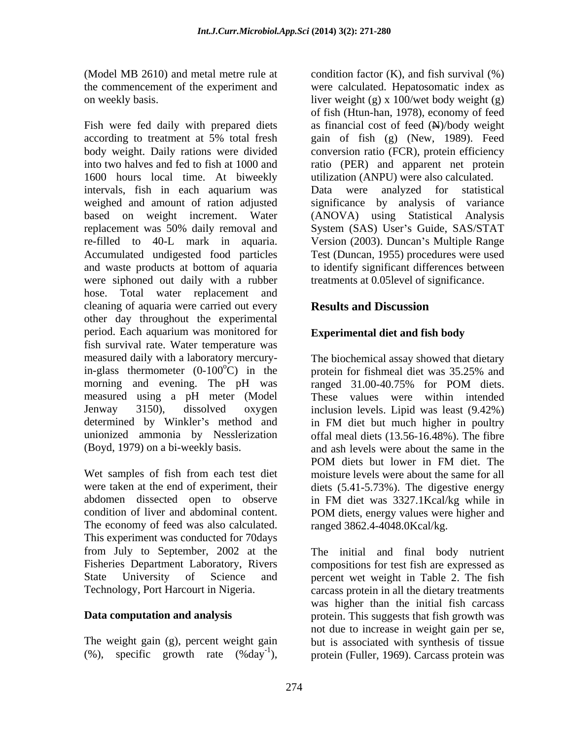(Model MB 2610) and metal metre rule at condition factor (K), and fish survival (%)

Fish were fed daily with prepared diets according to treatment at 5% total fresh gain of fish (g) (New, 1989). Feed body weight. Daily rations were divided conversion ratio (FCR), protein efficiency into two halves and fed to fish at 1000 and ratio (PER) and apparent net protein 1600 hours local time. At biweekly intervals, fish in each aquarium was Data were analyzed for statistical weighed and amount of ration adjusted significance by analysis of variance based on weight increment. Water replacement was 50% daily removal and System (SAS) User's Guide, SAS/STAT re-filled to 40-L mark in aquaria. Version (2003). Duncan's Multiple Range Accumulated undigested food particles Test (Duncan, 1955) procedures were used and waste products at bottom of aquaria to identify significant differences between were siphoned out daily with a rubber hose. Total water replacement and cleaning of aquaria were carried out every **Results and Discussion** other day throughout the experimental period. Each aquarium was monitored for fish survival rate. Water temperature was measured daily with a laboratory mercury-The biochemical assay showed that dietary in-glass thermometer  $(0-100^{\circ}C)$  in the protein for fishmeal diet was 35.25% and morning and evening. The pH was ranged 31.00-40.75% for POM diets. measured using a pH meter (Model Jenway 3150), dissolved oxygen inclusion levels. Lipid was least (9.42%) determined by Winkler's method and in FM diet but much higher in poultry unionized ammonia by Nesslerization

Wet samples of fish from each test diet were taken at the end of experiment, their abdomen dissected open to observe in FM diet was 3327.1Kcal/kg while in condition of liver and abdominal content. POM diets, energy values were higher and The economy of feed was also calculated. This experiment was conducted for 70days from July to September, 2002 at the The initial and final body nutrient Fisheries Department Laboratory, Rivers compositions for test fish are expressed as State University of Science and percent wet weight in Table 2. The fish

the commencement of the experiment and were calculated. Hepatosomatic index as on weekly basis. liver weight (g) x 100/wet body weight (g) of fish (Htun-han, 1978), economy of feed as financial cost of feed  $(\mathbb{H})$ /body weight utilization (ANPU) were also calculated. Data were analyzed for statistical (ANOVA) using Statistical Analysis System (SAS) User's Guide, SAS/STAT treatments at 0.05level of significance.

# **Results and Discussion**

## **Experimental diet and fish body**

(Boyd, 1979) on a bi-weekly basis. and ash levels were about the same in the protein for fishmeal diet was 35.25% and ranged 31.00-40.75% for POM diets. These values were within intended in FM diet but much higher in poultry offal meal diets (13.56-16.48%). The fibre POM diets but lower in FM diet. The moisture levels were about the same for all diets (5.41-5.73%). The digestive energy POM diets, energy values were higher and ranged 3862.4-4048.0Kcal/kg.

Technology, Port Harcourt in Nigeria. carcass protein in all the dietary treatments **Data computation and analysis** protein. This suggests that fish growth was The weight gain (g), percent weight gain but is associated with synthesis of tissue (%), specific growth rate (%day<sup>-1</sup>), protein (Fuller, 1969). Carcass protein was was higher than the initial fish carcass not due to increase in weight gain per se,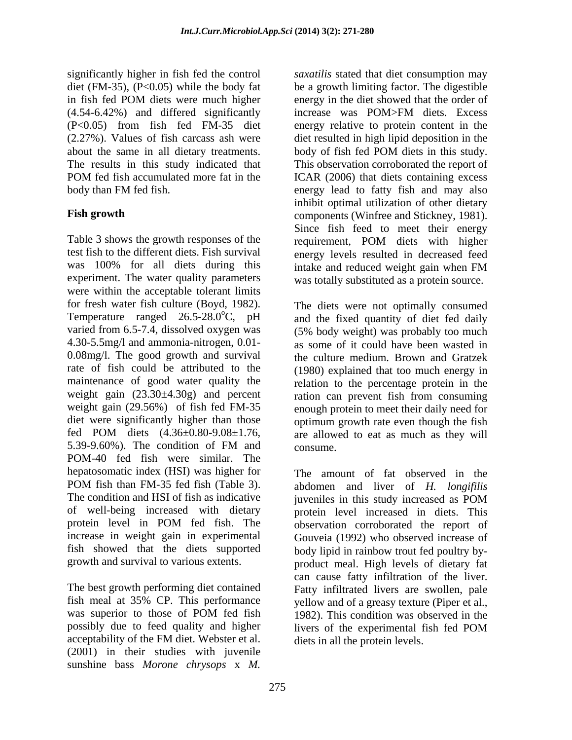(4.54-6.42%) and differed significantly about the same in all dietary treatments. body of fish fed POM diets in this study. The results in this study indicated that This observation corroborated the report of

Table 3 shows the growth responses of the requirement, POM diets with higher test fish to the different diets. Fish survival energy levels resulted in decreased feed was 100% for all diets during this intake and reduced weight gain when FM experiment. The water quality parameters was totally substituted as a protein source. were within the acceptable tolerant limits for fresh water fish culture (Boyd, 1982). Temperature ranged  $26.5 - 28.0$ °C, pH varied from 6.5-7.4, dissolved oxygen was (5% body weight) was probably too much 4.30-5.5mg/l and ammonia-nitrogen, 0.01- as some of it could have been wasted in 0.08mg/l. The good growth and survival rate of fish could be attributed to the (1980) explained that too much energy in maintenance of good water quality the relation to the percentage protein in the weight gain  $(23.30\pm4.30g)$  and percent ration can prevent fish from consuming weight gain (29.56%) of fish fed FM-35 enough protein to meet their daily need for diet were significantly higher than those optimum growth rate even though the fish fed POM diets  $(4.36\pm0.80-9.08\pm1.76)$  are allowed to eat as much as they will 5.39-9.60%). The condition of FM and POM-40 fed fish were similar. The hepatosomatic index (HSI) was higher for POM fish than FM-35 fed fish (Table 3). abdomen and liver of H. longifilis The condition and HSI of fish as indicative *inveniles* in this study increased as POM of well-being increased with dietary protein level increased in diets. This protein level in POM fed fish. The observation corroborated the report of increase in weight gain in experimental fish showed that the diets supported body lipid in rainbow trout fed poultry by-

fish meal at 35% CP. This performance possibly due to feed quality and higher livers of the experimental fish fed POM acceptability of the FM diet. Webster et al. (2001) in their studies with juvenile sunshine bass *Morone chrysops* x *M.* 

significantly higher in fish fed the control *saxatilis* stated that diet consumption may diet (FM-35), (P<0.05) while the body fat be a growth limiting factor. The digestible in fish fed POM diets were much higher (P<0.05) from fish fed FM-35 diet energy relative to protein content in the (2.27%). Values of fish carcass ash were diet resulted in high lipid deposition in the POM fed fish accumulated more fat in the ICAR (2006) that diets containing excess body than FM fed fish. energy lead to fatty fish and may also Fish growth **Fish growth** components (Winfree and Stickney, 1981). energy in the diet showed that the order of increase was POM>FM diets. Excess body of fish fed POM diets in this study.<br>This observation corroborated the report of ICAR (2006) that diets containing excess inhibit optimal utilization of other dietary Since fish feed to meet their energy requirement, POM diets with higher intake and reduced weight gain when FM

> The diets were not optimally consumed and the fixed quantity of diet fed daily the culture medium. Brown and Gratzek consume.

growth and survival to various extents. product meal. High levels of dietary fat The best growth performing diet contained Fatty infiltrated livers are swollen, pale was superior to those of POM fed fish 1982). This condition was observed in the The amount of fat observed in the abdomen and liver of *H. longifilis* juveniles in this study increased as POM observation corroborated the report of Gouveia (1992) who observed increase of can cause fatty infiltration of the liver. yellow and of a greasy texture (Piper et al., 1982). This condition was observed in the livers of the experimental fish fed POM diets in all the protein levels.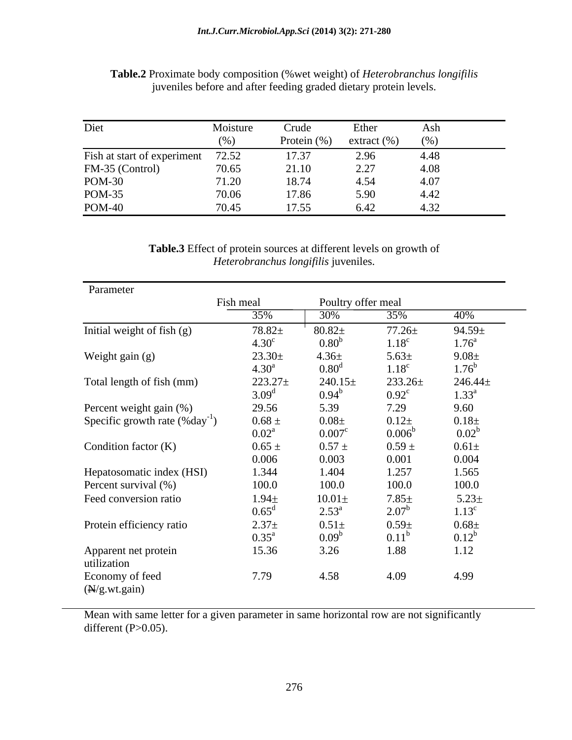| Diet                        | Moisture | Crude       | Ether           | Ash  |
|-----------------------------|----------|-------------|-----------------|------|
|                             | (%)      | Protein (%) | extract $(\% )$ | (96) |
| Fish at start of experiment | 72.52    | 17.37       | 2.96            | 4.48 |
| FM-35 (Control)             | 70.65    | 21.10       | 2.27            | 4.08 |
| <b>POM-30</b>               | 71.20    | 18.74       | 4.54            | 4.07 |
| <b>POM-35</b>               | 70.06    | 17.86       | 5.90            | 4.42 |
| <b>POM-40</b>               | 70.45    | 17.55       | 6.42            | 4.32 |

**Table.2** Proximate body composition (%wet weight) of *Heterobranchus longifilis* juveniles before and after feeding graded dietary protein levels.

**Table.3** Effect of protein sources at different levels on growth of *Heterobranchus longifilis* juveniles.

| Fish meal<br>Poultry offer meal<br>and the contract of the contract of<br>40%<br>30%<br>35%<br>35%<br>$78.82 +$<br>Initial weight of fish (g)<br>$80.82 \pm$<br>$77.26 \pm$<br>$94.59 \pm$<br>4.30 <sup>c</sup><br>0.80 <sup>b</sup><br>$1.76^a$<br>$1.18^c$<br>$23.30 \pm$<br>Weight gain (g)<br>$4.36\pm$<br>$5.63 \pm$<br>$9.08 \pm$<br>$1.76^{b}$<br>$4.30^{a}$<br>0.80 <sup>d</sup><br>$1.18^{\circ}$<br>$246.44 \pm$<br>Total length of fish (mm)<br>$223.27 \pm$<br>$240.15 \pm$<br>$233.26 \pm$<br>$3.09^{d}$<br>$0.94^{\rm b}$<br>$1.33^{\rm a}$<br>$0.92^{\circ}$<br>29.56<br>5.39<br>7.29<br>9.60<br>Percent weight gain (%)<br>$0.68 \pm$<br>$0.08\pm$<br>$0.12 +$<br>$0.18\pm$<br>Specific growth rate $(\%day^{-1})$<br>$0.02^{b}$<br>$0.02^{\text{a}}$<br>$0.007^{\circ}$<br>$0.006^{\rm b}$<br>$0.65 \pm$<br>$0.57 \pm$<br>$0.59 \pm$<br>Condition factor $(K)$<br>$0.61\pm$<br>0.006<br>0.003<br>0.001<br>0.004<br>Hepatosomatic index (HSI)<br>1.344<br>1.404<br>1.257<br>1.565<br>100.0<br>100.0<br>100.0<br>Percent survival (%)<br>100.0<br>$5.23 \pm$<br>$1.94\pm$<br>$10.01\pm$<br>$7.85\pm$<br>Feed conversion ratio<br>$0.65^{\rm d}$<br>$2.53^{\circ}$<br>$2.07^{\rm b}$<br>$1.13^c$<br>$2.37+$<br>Protein efficiency ratio<br>$0.68 \pm$<br>$0.51\pm$<br>$0.59\pm$<br>$0.12^b$<br>$0.35^{\text{a}}$<br>0.09 <sup>b</sup><br>$0.11^{\rm b}$<br>3.26<br>15.36<br>1.12<br>1.88<br>Apparent net protein<br>utilization<br>7.79<br>4.58<br>4.09<br>4.99<br>Economy of feed | Parameter     |  |  |
|--------------------------------------------------------------------------------------------------------------------------------------------------------------------------------------------------------------------------------------------------------------------------------------------------------------------------------------------------------------------------------------------------------------------------------------------------------------------------------------------------------------------------------------------------------------------------------------------------------------------------------------------------------------------------------------------------------------------------------------------------------------------------------------------------------------------------------------------------------------------------------------------------------------------------------------------------------------------------------------------------------------------------------------------------------------------------------------------------------------------------------------------------------------------------------------------------------------------------------------------------------------------------------------------------------------------------------------------------------------------------------------------------------------------------------------------------------------------------------------------------|---------------|--|--|
|                                                                                                                                                                                                                                                                                                                                                                                                                                                                                                                                                                                                                                                                                                                                                                                                                                                                                                                                                                                                                                                                                                                                                                                                                                                                                                                                                                                                                                                                                                  |               |  |  |
|                                                                                                                                                                                                                                                                                                                                                                                                                                                                                                                                                                                                                                                                                                                                                                                                                                                                                                                                                                                                                                                                                                                                                                                                                                                                                                                                                                                                                                                                                                  |               |  |  |
|                                                                                                                                                                                                                                                                                                                                                                                                                                                                                                                                                                                                                                                                                                                                                                                                                                                                                                                                                                                                                                                                                                                                                                                                                                                                                                                                                                                                                                                                                                  |               |  |  |
|                                                                                                                                                                                                                                                                                                                                                                                                                                                                                                                                                                                                                                                                                                                                                                                                                                                                                                                                                                                                                                                                                                                                                                                                                                                                                                                                                                                                                                                                                                  |               |  |  |
|                                                                                                                                                                                                                                                                                                                                                                                                                                                                                                                                                                                                                                                                                                                                                                                                                                                                                                                                                                                                                                                                                                                                                                                                                                                                                                                                                                                                                                                                                                  |               |  |  |
|                                                                                                                                                                                                                                                                                                                                                                                                                                                                                                                                                                                                                                                                                                                                                                                                                                                                                                                                                                                                                                                                                                                                                                                                                                                                                                                                                                                                                                                                                                  |               |  |  |
|                                                                                                                                                                                                                                                                                                                                                                                                                                                                                                                                                                                                                                                                                                                                                                                                                                                                                                                                                                                                                                                                                                                                                                                                                                                                                                                                                                                                                                                                                                  |               |  |  |
|                                                                                                                                                                                                                                                                                                                                                                                                                                                                                                                                                                                                                                                                                                                                                                                                                                                                                                                                                                                                                                                                                                                                                                                                                                                                                                                                                                                                                                                                                                  |               |  |  |
|                                                                                                                                                                                                                                                                                                                                                                                                                                                                                                                                                                                                                                                                                                                                                                                                                                                                                                                                                                                                                                                                                                                                                                                                                                                                                                                                                                                                                                                                                                  |               |  |  |
|                                                                                                                                                                                                                                                                                                                                                                                                                                                                                                                                                                                                                                                                                                                                                                                                                                                                                                                                                                                                                                                                                                                                                                                                                                                                                                                                                                                                                                                                                                  |               |  |  |
|                                                                                                                                                                                                                                                                                                                                                                                                                                                                                                                                                                                                                                                                                                                                                                                                                                                                                                                                                                                                                                                                                                                                                                                                                                                                                                                                                                                                                                                                                                  |               |  |  |
|                                                                                                                                                                                                                                                                                                                                                                                                                                                                                                                                                                                                                                                                                                                                                                                                                                                                                                                                                                                                                                                                                                                                                                                                                                                                                                                                                                                                                                                                                                  |               |  |  |
|                                                                                                                                                                                                                                                                                                                                                                                                                                                                                                                                                                                                                                                                                                                                                                                                                                                                                                                                                                                                                                                                                                                                                                                                                                                                                                                                                                                                                                                                                                  |               |  |  |
|                                                                                                                                                                                                                                                                                                                                                                                                                                                                                                                                                                                                                                                                                                                                                                                                                                                                                                                                                                                                                                                                                                                                                                                                                                                                                                                                                                                                                                                                                                  |               |  |  |
|                                                                                                                                                                                                                                                                                                                                                                                                                                                                                                                                                                                                                                                                                                                                                                                                                                                                                                                                                                                                                                                                                                                                                                                                                                                                                                                                                                                                                                                                                                  |               |  |  |
|                                                                                                                                                                                                                                                                                                                                                                                                                                                                                                                                                                                                                                                                                                                                                                                                                                                                                                                                                                                                                                                                                                                                                                                                                                                                                                                                                                                                                                                                                                  |               |  |  |
|                                                                                                                                                                                                                                                                                                                                                                                                                                                                                                                                                                                                                                                                                                                                                                                                                                                                                                                                                                                                                                                                                                                                                                                                                                                                                                                                                                                                                                                                                                  |               |  |  |
|                                                                                                                                                                                                                                                                                                                                                                                                                                                                                                                                                                                                                                                                                                                                                                                                                                                                                                                                                                                                                                                                                                                                                                                                                                                                                                                                                                                                                                                                                                  |               |  |  |
|                                                                                                                                                                                                                                                                                                                                                                                                                                                                                                                                                                                                                                                                                                                                                                                                                                                                                                                                                                                                                                                                                                                                                                                                                                                                                                                                                                                                                                                                                                  |               |  |  |
|                                                                                                                                                                                                                                                                                                                                                                                                                                                                                                                                                                                                                                                                                                                                                                                                                                                                                                                                                                                                                                                                                                                                                                                                                                                                                                                                                                                                                                                                                                  |               |  |  |
|                                                                                                                                                                                                                                                                                                                                                                                                                                                                                                                                                                                                                                                                                                                                                                                                                                                                                                                                                                                                                                                                                                                                                                                                                                                                                                                                                                                                                                                                                                  |               |  |  |
|                                                                                                                                                                                                                                                                                                                                                                                                                                                                                                                                                                                                                                                                                                                                                                                                                                                                                                                                                                                                                                                                                                                                                                                                                                                                                                                                                                                                                                                                                                  |               |  |  |
|                                                                                                                                                                                                                                                                                                                                                                                                                                                                                                                                                                                                                                                                                                                                                                                                                                                                                                                                                                                                                                                                                                                                                                                                                                                                                                                                                                                                                                                                                                  | (N/g.wt.gain) |  |  |

Mean with same letter for a given parameter in same horizontal row are not significantly different  $(P>0.05)$ .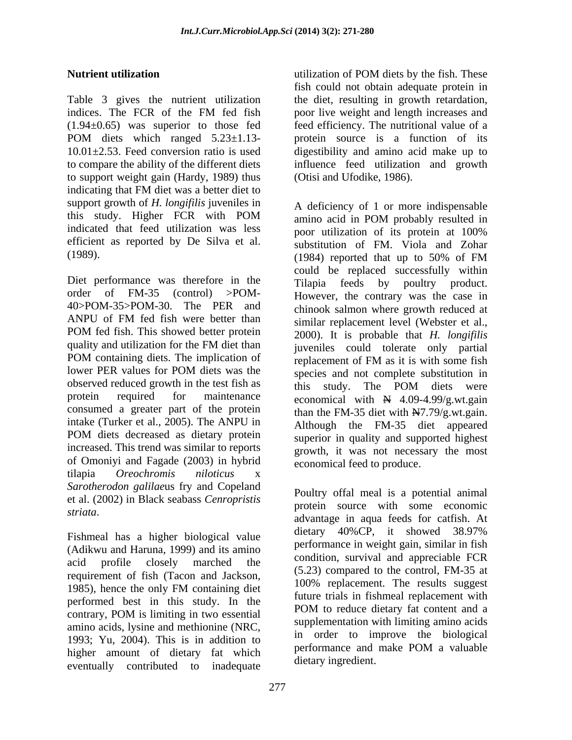Table 3 gives the nutrient utilization the diet, resulting in growth retardation, indices. The FCR of the FM fed fish poor live weight and length increases and (1.94±0.65) was superior to those fed feed efficiency. The nutritional value of a POM diets which ranged 5.23±1.13- protein source is a function of its 10.01±2.53. Feed conversion ratio is used digestibility and amino acid make up to to compare the ability of the different diets influence feed utilization and growth to support weight gain (Hardy, 1989) thus indicating that FM diet was a better diet to support growth of *H. longifilis* juveniles in indicated that feed utilization was less poor utilization of its protein at 100% efficient as reported by De Silva et al.

Diet performance was therefore in the Tilapia feeds by poultry product. POM containing diets. The implication of replacement of FM as it is with some fish observed reduced growth in the test fish as this study. The POM diets were consumed a greater part of the protein intake (Turker et al., 2005). The ANPU in POM diets decreased as dietary protein increased. This trend was similar to reports of Omoniyi and Fagade (2003) in hybrid tilapia *Oreochromis niloticus* x *Sarotherodon galilae*us fry and Copeland et al. (2002) in Black seabass *Cenropristis* 

(Adikwu and Haruna, 1999) and its amino acid profile closely marched the requirement of fish (Tacon and Jackson,<br>100% replacement. The results suggest 1985), hence the only FM containing diet<br>
Setting this is fished and containing the performed best in this study. In the numerical intervention is the numerical point of the performance point in the performance point is the second of the performance point of the performance point of the performance point contrary, POM is limiting in two essential  $\overrightarrow{P}$  and  $\overrightarrow{P}$  and  $\overrightarrow{P}$  and  $\overrightarrow{P}$  and  $\overrightarrow{P}$  and  $\overrightarrow{P}$  and  $\overrightarrow{P}$  and  $\overrightarrow{P}$  and  $\overrightarrow{P}$  and  $\overrightarrow{P}$  and  $\overrightarrow{P}$  and  $\overrightarrow{P}$  and  $\overrightarrow{P}$  and  $\overrightarrow{P}$  amino acids, lysine and methionine (NRC, 1993; Yu, 2004). This is in addition to  $\frac{10}{2}$  in order to improve the biological performance and make POM a valuable higher amount of dietary fat which eventually contributed to inadequate

**Nutrient utilization Nutrient utilization numerical** *numerical**attilization**attilization**attilization**attilization**attilization**attilization**attilization**attilization**attilization**attilization*utilization of POM diets by the fish. These fish could not obtain adequate protein in poor live weight and length increases and protein source is a function of its (Otisi and Ufodike, 1986).

this study. Higher FCR with POM amino acid in POM probably resulted in (1989). (1989). (1984) reported that up to 50% of FM order of FM-35 (control) >POM- However, the contrary was the case in 40>POM-35>POM-30. The PER and chinook salmon where growth reduced at ANPU of FM fed fish were better than similar replacement level (Webster et al. POM fed fish. This showed better protein 2000). It is probable that *H. longifilis* quality and utilization for the FM diet than  $\frac{1}{2}$  inveniles could tolerate only partial lower PER values for POM diets was the species and not complete substitution in protein required for maintenance economical with  $\frac{1}{2}$  4.09-4.99/g.wt.gain A deficiency of 1 or more indispensable amino acid in POM probably resulted in poor utilization of its protein at 100% substitution of FM. Viola and Zohar (1984) reported that up to 50% of FM could be replaced successfully within Tilapia feeds by poultry product. similar replacement level (Webster et al., juveniles could tolerate only partial replacement of FM as it is with some fish species and not complete substitution in this study. The POM diets were than the FM-35 diet with  $N7.79/g.wt.gain$ . Although the FM-35 diet appeared superior in quality and supported highest growth, it was not necessary the most economical feed to produce.

*striata*. advantage in aqua feeds for catfish. At Fishmeal has a higher biological value dietary 40%CP, it showed 38.97% Poultry offal meal is a potential animal protein source with some economic dietary 40%CP, it showed 38.97% performance in weight gain, similar in fish condition, survival and appreciable FCR (5.23) compared to the control, FM-35 at 100% replacement. The results suggest future trials in fishmeal replacement with POM to reduce dietary fat content and a supplementation with limiting amino acids in order to improve the biological performance and make POM a valuable dietary ingredient.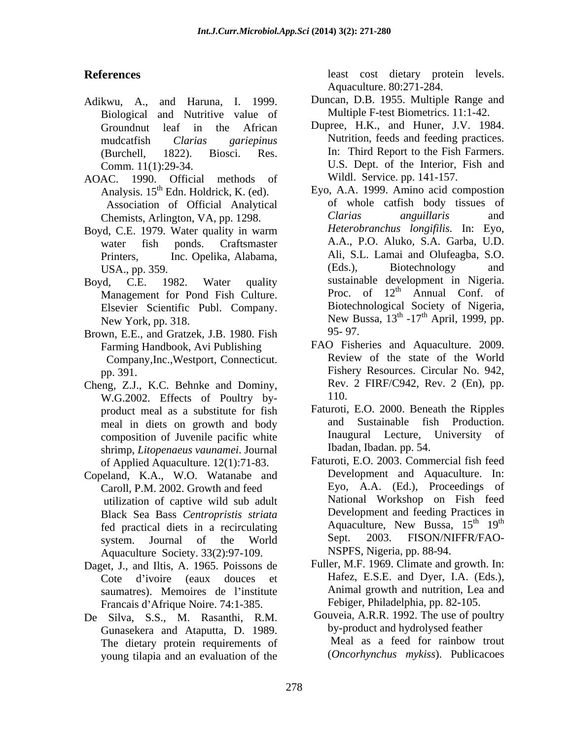- Biological and Nutritive value of Multiple F-test Biometrics. 11:1-42.
- AOAC. 1990. Official methods of<br>Analysis.  $15^{th}$  Edn. Holdrick, K. (ed). Chemists, Arlington, VA, pp. 1298.
- Boyd, C.E. 1979. Water quality in warm
- Elsevier Scientific Publ. Company.
- Brown, E.E., and Gratzek, J.B. 1980. Fish Company,Inc.,Westport, Connecticut.
- Cheng, Z.J., K.C. Behnke and Dominy, Rev.<br>W.G. 2002. Effects of Poultry by- 110. W.G.2002. Effects of Poultry by product meal as a substitute for fish meal in diets on growth and body shrimp, *Litopenaeus vaunamei*. Journal of Applied Aquaculture. 12(1):71-83.
- Copeland, K.A., W.O. Watanabe and Caroll, P.M. 2002. Growth and feed utilization of captive wild sub adult Black Sea Bass *Centropristis striata* Aquaculture Society. 33(2):97-109.
- Daget, J., and Iltis, A. 1965. Poissons de saumatres). Memoires de l'institute Francais d'Afrique Noire. 74:1-385.
- De Silva, S.S., M. Rasanthi, R.M. The dietary protein requirements of young tilapia and an evaluation of the

**References** least cost dietary protein levels. Aquaculture. 80:271-284.

- Adikwu, A., and Haruna, I. 1999. Duncan, D.B. 1955. Multiple Range and
	- Groundnut leaf in the African Dupree, H.K., and Huner, J.V. 1984. mudcatfish *Clarias gariepinus* Nutrition, feeds and feeding practices. (Burchell, 1822). Biosci. Res. In: Third Report to the Fish Farmers. Comm. 11(1):29-34. U.S. Dept. of the Interior, Fish and Wildl. Service. pp. 141-157.
- Analysis. 15<sup>th</sup> Edn. Holdrick, K. (ed). <sup>Eyo, A.A. 1999. Amino acid compostion</sup> Association of Official Analytical of whole cattish body tissues of<br>Themists Arlington VA pp 1298 *Clarias anguillaris* and water fish ponds. Craftsmaster A.A., P.O. Aluko, S.A. Garba, U.D. Printers, Inc. Opelika, Alabama, Ali, S.L. Lamai and Olufeagba, S.O. USA., pp. 359. **a** in the contract of the contract (Eds.), Biotechnology and and Boyd, C.E. 1982. Water quality sustainable development in Nigeria. Management for Pond Fish Culture. Proc. of  $12<sup>th</sup>$  Annual Conf. of New York, pp. 318. New Bussa,  $13^{\text{th}}$  -17<sup>th</sup> April, 1999, pp. of whole catfish body tissues of *Clarias anguillaris* and *Heterobranchus longifilis.* In: Eyo, (Eds.), Biotechnology and Proc. of  $12<sup>th</sup>$  Annual Conf. of th Annual Conf. of Biotechnological Society of Nigeria,  $\mu$  17<sup>th</sup> April 1000 pp  $-17<sup>th</sup>$  April, 1999, pp. 95- 97.
	- Farming Handbook, Avi Publishing FAO Fisheries and Aquaculture. 2009.<br>Company Inc. Westport. Connecticut Review of the state of the World pp. 391. Fishery Resources. Circular No. 942, FAO Fisheries and Aquaculture. 2009. Review of the state of the World Rev. 2 FIRF/C942, Rev. 2 (En), pp. 110.
	- composition of Juvenile pacific white **Indugater Indugater** Lecture, University of Faturoti, E.O. 2000. Beneath the Ripples and Sustainable fish Production. Inaugural Lecture, University of Ibadan, Ibadan. pp. 54.
	- fed practical diets in a recirculating and Aquaculture, New Bussa, 15<sup>th</sup> 19<sup>th</sup> existem Iournal of the World Sept. 2003. FISON/NIFFR/FAOsystem. Journal of the World Faturoti, E.O. 2003. Commercial fish feed Development and Aquaculture. In: Eyo, A.A. (Ed.), Proceedings of National Workshop on Fish feed Development and feeding Practices in Aquaculture, New Bussa,  $15^{th}$   $19^{th}$  $th$  19<sup>th</sup> th Sept. 2003. FISON/NIFFR/FAO- NSPFS, Nigeria, pp. 88-94.
	- Cote d ivoire (eaux douces et Hafez, E.S.E. and Dyer, I.A. (Eds.), Fuller, M.F. 1969. Climate and growth. In: Animal growth and nutrition, Lea and Febiger, Philadelphia, pp. 82-105.
	- Gunasekera and Ataputta, D. 1989. by-product and hydrolysed feather<br>The dietary protein requirements of Meal as a feed for rainbow trout Gouveia, A.R.R. 1992. The use of poultry by-product and hydrolysed feather Meal as a feed for rainbow trout (*Oncorhynchus mykiss*). Publicacoes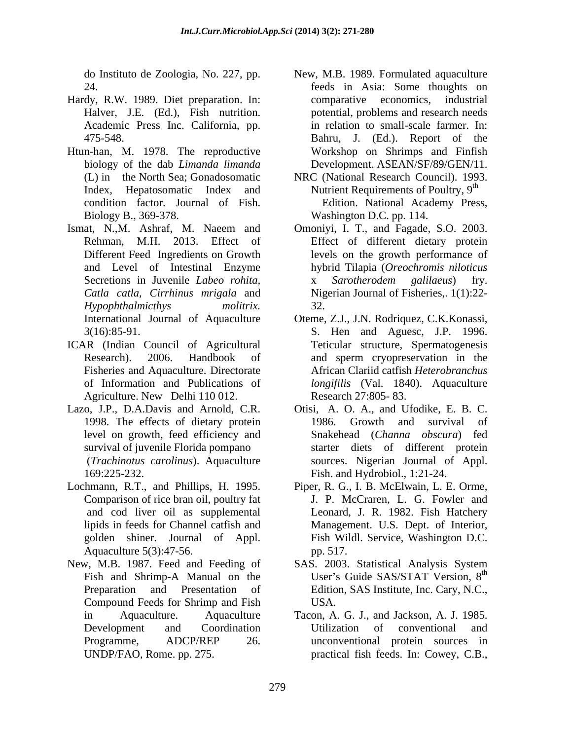- Hardy, R.W. 1989. Diet preparation. In:
- Htun-han, M. 1978. The reproductive Biology B., 369-378. Washington D.C. pp. 114.
- Ismat, N.,M. Ashraf, M. Naeem and Omoniyi, I. T., and Fagade, S.O. 2003. *Hypophthalmicthys molitrix.* 32.<br>International Journal of Aquaculture Oteme, Z.J., J.N. Rodriquez, C.K. Konassi,
- ICAR (Indian Council of Agricultural Agriculture. New Delhi 110 012.
- Lazo, J.P., D.A.Davis and Arnold, C.R. 1998. The effects of dietary protein level on growth, feed efficiency and (*Trachinotus carolinus*). Aquaculture sources. Nigerian Journal of Appl.
- Lochmann, R.T., and Phillips, H. 1995. Aquaculture 5(3):47-56. pp. 517.
- New, M.B. 1987. Feed and Feeding of SAS. 2003. Statistical Analysis System Compound Feeds for Shrimp and Fish
- do Instituto de Zoologia, No. 227, pp. New, M.B. 1989. Formulated aquaculture 24. feeds in Asia: Some thoughts on Halver, J.E. (Ed.), Fish nutrition. potential, problems and research needs Academic Press Inc. California, pp. in relation to small-scale farmer. In: 475-548. Bahru, J. (Ed.). Report of the biology of the dab *Limanda limanda* Development. ASEAN/SF/89/GEN/11. comparative economics, Workshop on Shrimps and Finfish
- (L) in the North Sea; Gonadosomatic NRC (National Research Council). 1993. Index, Hepatosomatic Index and Nutrient Requirements of Poultry, 9<sup>th</sup> condition factor. Journal of Fish. Edition. National Academy Press,
- Rehman, M.H. 2013. Effect of Effect of different dietary protein Different Feed Ingredients on Growth levels on the growth performance of and Level of Intestinal Enzyme hybrid Tilapia (*Oreochromis niloticus* Secretions in Juvenile *Labeo rohita, Catla catla, Cirrhinus mrigala* and Nigerian Journal of Fisheries,. 1(1):22- Omoniyi, I. T., and Fagade, S.O. 2003. x *Sarotherodem galilaeus*) fry. 32.
- 3(16):85-91. S. Hen and Aguesc, J.P. 1996. Research). 2006. Handbook of and sperm cryopreservation in the Fisheries and Aquaculture. Directorate African Clariid catfish *Heterobranchus*  of Information and Publications of *longifilis* (Val. 1840). Aquaculture Oteme, Z.J., J.N. Rodriquez, C.K.Konassi, Teticular structure, Spermatogenesis and sperm cryopreservation in the Research 27:805- 83.
- survival of juvenile Florida pompano starter diets of different protein 169:225-232. Fish. and Hydrobiol., 1:21-24. Otisi, A. O. A., and Ufodike, E. B. C. Growth and survival of Snakehead (*Channa obscura*) fed
- Comparison of rice bran oil, poultry fat J. P. McCraren, L. G. Fowler and and cod liver oil as supplemental lipids in feeds for Channel catfish and Management. U.S. Dept. of Interior, golden shiner. Journal of Appl. Fish Wildl. Service, Washington D.C. Piper, R. G., I. B. McElwain, L. E. Orme, J. P. McCraren, L. G. Fowler and Leonard, J. R. 1982. Fish Hatchery pp. 517.
- Fish and Shrimp-A Manual on the User's Guide SAS/STAT Version, 8<sup>th</sup> Fish and Shrimp-A Manual on the User's Guide SAS/STAT Version, 8<sup>th</sup><br>Preparation and Presentation of Edition, SAS Institute, Inc. Cary, N.C., User's Guide SAS/STAT Version,  $8<sup>th</sup>$ the contract of the contract of the contract of the contract of the contract of the contract of the contract of the contract of the contract of the contract of the contract of the contract of the contract of the contract o USA.
- in Aquaculture. Aquaculture Tacon, A. G. J., and Jackson, A. J. 1985. Development and Coordination Programme, ADCP/REP 26. unconventional protein sources in UNDP/FAO, Rome. pp. 275. practical fish feeds.In: Cowey, C.B.,Utilization of conventional and